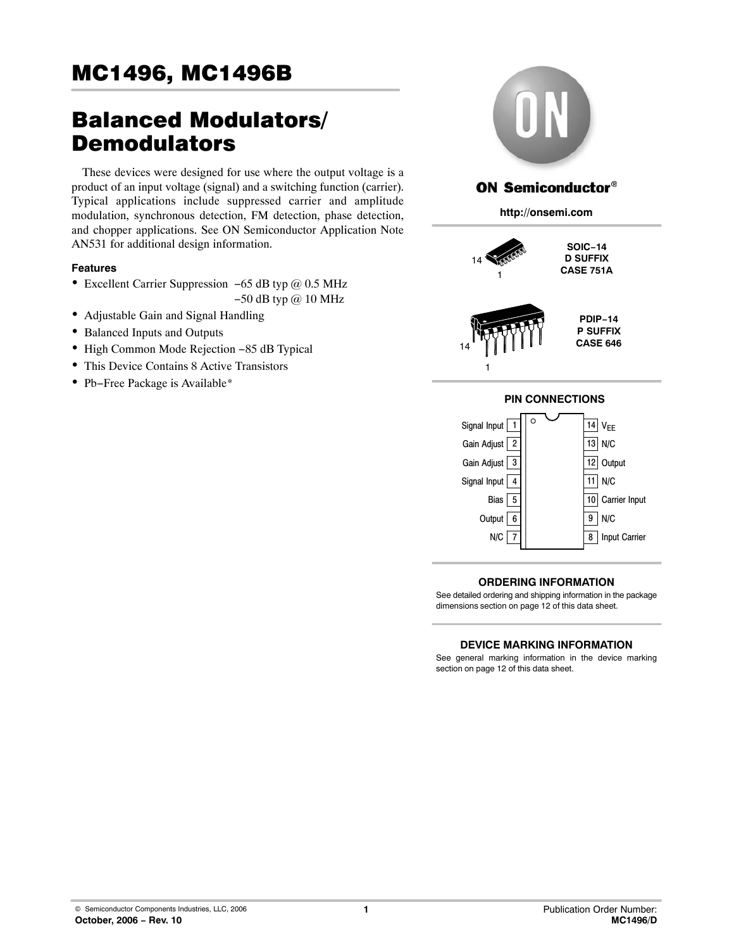# Balanced Modulators/ Demodulators

These devices were designed for use where the output voltage is a product of an input voltage (signal) and a switching function (carrier). Typical applications include suppressed carrier and amplitude modulation, synchronous detection, FM detection, phase detection, and chopper applications. See ON Semiconductor Application Note AN531 for additional design information.

# **Features**

- Excellent Carrier Suppression −65 dB typ @ 0.5 MHz
	- −50 dB typ @ 10 MHz
- Adjustable Gain and Signal Handling
- Balanced Inputs and Outputs
- High Common Mode Rejection −85 dB Typical
- This Device Contains 8 Active Transistors
- Pb−Free Package is Available\*



# ON Semiconductor®

**http://onsemi.com**



14

1



# **PIN CONNECTIONS**



# **ORDERING INFORMATION**

See detailed ordering and shipping information in the package dimensions section on page [12 of this data sheet.](#page-11-0)

# **DEVICE MARKING INFORMATION**

See general marking information in the device marking section on page [12 of this data sheet.](#page-11-0)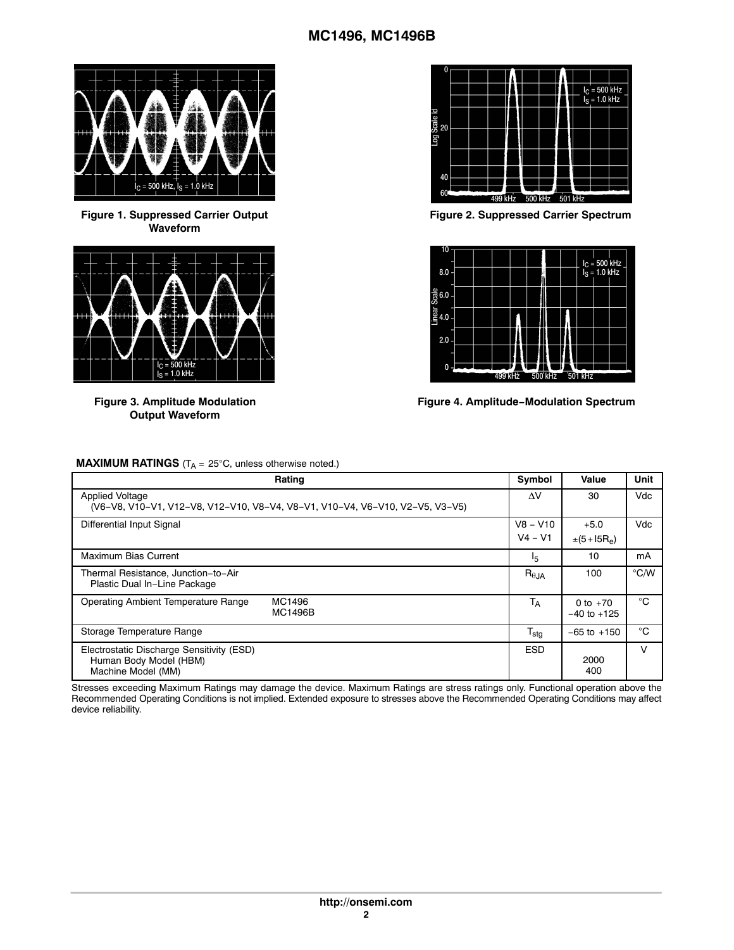

**Figure 1. Suppressed Carrier Output Waveform**



**Figure 3. Amplitude Modulation Output Waveform**



**Figure 2. Suppressed Carrier Spectrum**



**Figure 4. Amplitude−Modulation Spectrum**

| <b>MAXIMUM RATINGS</b> ( $T_A = 25^\circ C$ , unless otherwise noted.) |  |  |  |  |
|------------------------------------------------------------------------|--|--|--|--|
|------------------------------------------------------------------------|--|--|--|--|

| Rating                                                                                                 | Symbol                  | Value                             | Unit          |
|--------------------------------------------------------------------------------------------------------|-------------------------|-----------------------------------|---------------|
| <b>Applied Voltage</b><br>(V6-V8, V10-V1, V12-V8, V12-V10, V8-V4, V8-V1, V10-V4, V6-V10, V2-V5, V3-V5) | $\Delta V$              | 30                                | Vdc           |
| Differential Input Signal                                                                              | $V8 - V10$<br>$V4 - V1$ | $+5.0$<br>$\pm (5 + 15R_{\odot})$ | Vdc           |
| Maximum Bias Current                                                                                   | <sup>15</sup>           | 10                                | mA            |
| Thermal Resistance, Junction-to-Air<br>Plastic Dual In-Line Package                                    | $R_{\theta,JA}$         | 100                               | $\degree$ C/W |
| MC1496<br>Operating Ambient Temperature Range<br>MC1496B                                               | <b>TA</b>               | 0 to $+70$<br>$-40$ to $+125$     | °€            |
| Storage Temperature Range                                                                              | $T_{\text{stg}}$        | $-65$ to $+150$                   | °C            |
| Electrostatic Discharge Sensitivity (ESD)<br>Human Body Model (HBM)<br>Machine Model (MM)              | <b>ESD</b>              | 2000<br>400                       | $\vee$        |

Stresses exceeding Maximum Ratings may damage the device. Maximum Ratings are stress ratings only. Functional operation above the Recommended Operating Conditions is not implied. Extended exposure to stresses above the Recommended Operating Conditions may affect device reliability.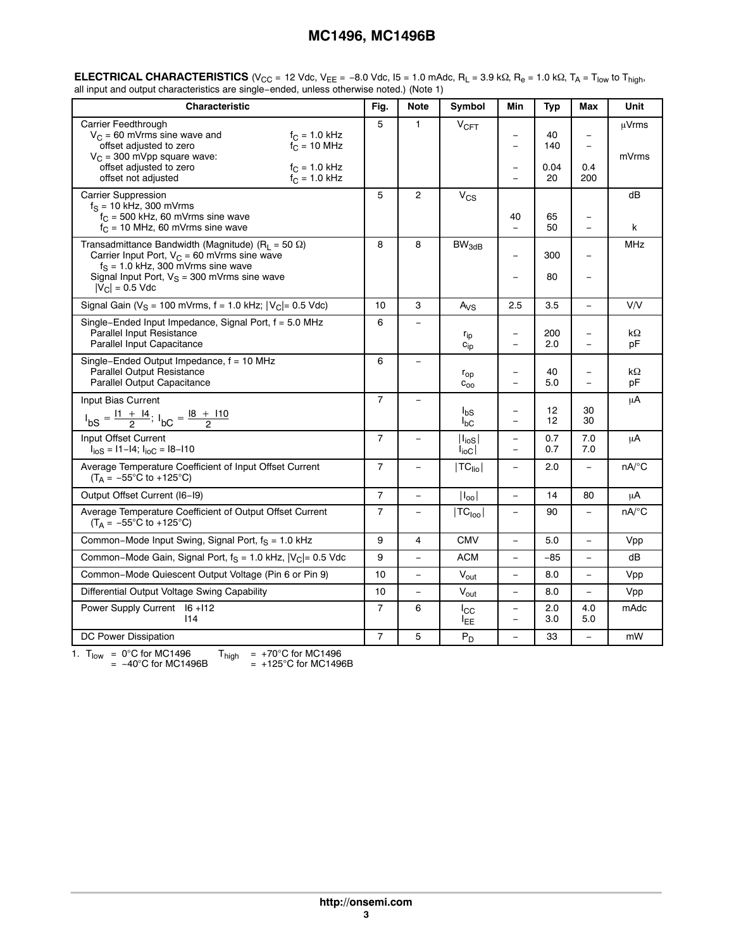| <b>ELECTRICAL CHARACTERISTICS</b> ( $V_{CC}$ = 12 Vdc, $V_{EE}$ = -8.0 Vdc, 15 = 1.0 mAdc, R <sub>L</sub> = 3.9 k $\Omega$ , R <sub>e</sub> = 1.0 k $\Omega$ , T <sub>A</sub> = T <sub>low</sub> to T <sub>high</sub> , |
|-------------------------------------------------------------------------------------------------------------------------------------------------------------------------------------------------------------------------|
| all input and output characteristics are single-ended, unless otherwise noted.) (Note 1)                                                                                                                                |

| <b>Characteristic</b>                                                                                                                                                                                                                          | Fig.           | <b>Note</b>              | Symbol                                                                     | Min                                                  | <b>Typ</b>              | Max                                         | Unit                |
|------------------------------------------------------------------------------------------------------------------------------------------------------------------------------------------------------------------------------------------------|----------------|--------------------------|----------------------------------------------------------------------------|------------------------------------------------------|-------------------------|---------------------------------------------|---------------------|
| Carrier Feedthrough<br>$V_C$ = 60 mVrms sine wave and<br>$f_C = 1.0$ kHz<br>$f_C = 10$ MHz<br>offset adjusted to zero<br>$V_C$ = 300 mVpp square wave:<br>offset adjusted to zero<br>$f_C = 1.0$ kHz<br>$f_C = 1.0$ kHz<br>offset not adjusted | 5              | 1                        | $V_{CFT}$                                                                  | $\equiv$                                             | 40<br>140<br>0.04<br>20 | —<br>$\overline{\phantom{0}}$<br>0.4<br>200 | uVrms<br>mVrms      |
| <b>Carrier Suppression</b><br>$fS$ = 10 kHz, 300 mVrms<br>$f_C = 500$ kHz, 60 mVrms sine wave<br>$f_C = 10$ MHz, 60 mVrms sine wave                                                                                                            | 5              | $\overline{2}$           | $V_{CS}$                                                                   | 40                                                   | 65<br>50                | $\qquad \qquad -$<br>$\equiv$               | dВ<br>k             |
| Transadmittance Bandwidth (Magnitude) ( $R_L$ = 50 $\Omega$ )<br>Carrier Input Port, $V_C = 60$ mVrms sine wave<br>$f_S = 1.0$ kHz, 300 mVrms sine wave<br>Signal Input Port, $V_S = 300$ mVrms sine wave<br>$ V_C  = 0.5$ Vdc                 | 8              | 8                        | $BW_{3dB}$                                                                 |                                                      | 300<br>80               |                                             | MHz                 |
| Signal Gain ( $V_S$ = 100 mVrms, f = 1.0 kHz; $ V_C $ = 0.5 Vdc)                                                                                                                                                                               | 10             | 3                        | A <sub>VS</sub>                                                            | 2.5                                                  | 3.5                     | $\equiv$                                    | V/V                 |
| Single-Ended Input Impedance, Signal Port, f = 5.0 MHz<br>Parallel Input Resistance<br>Parallel Input Capacitance                                                                                                                              | 6              |                          | $r_{ip}$<br>$c_{ip}$                                                       | $\qquad \qquad -$                                    | 200<br>2.0              | $\equiv$<br>$\equiv$                        | kΩ<br>pF            |
| Single-Ended Output Impedance, f = 10 MHz<br>Parallel Output Resistance<br>Parallel Output Capacitance                                                                                                                                         | 6              |                          | $r_{op}$<br>$c_{oo}$                                                       |                                                      | 40<br>5.0               | $\qquad \qquad -$                           | kΩ<br>pF            |
| Input Bias Current<br>$I_{\text{bS}} = \frac{11 + 14}{2}$ ; $I_{\text{bC}} = \frac{18 + 110}{2}$                                                                                                                                               | $\overline{7}$ |                          | I <sub>bS</sub><br>$I_{\text{bC}}$                                         | -                                                    | 12<br>12                | 30<br>30                                    | μA                  |
| Input Offset Current<br>$I_{\text{ioS}} = 11 - 14$ ; $I_{\text{ioC}} = 18 - 110$                                                                                                                                                               | $\overline{7}$ | $\qquad \qquad -$        | $\left\vert \right. \right\vert$ i $_{\mathrm{ioS}}$<br>$I_{\mathsf{ioC}}$ | $\overline{\phantom{a}}$<br>$\overline{\phantom{0}}$ | 0.7<br>0.7              | 7.0<br>7.0                                  | μA                  |
| Average Temperature Coefficient of Input Offset Current<br>$(T_A = -55^{\circ} \text{C}$ to +125°C)                                                                                                                                            | $\overline{7}$ |                          | $ TC_{lio} $                                                               | $\overline{\phantom{0}}$                             | 2.0                     | $\overline{\phantom{0}}$                    | $nA$ <sup>o</sup> C |
| Output Offset Current (I6-I9)                                                                                                                                                                                                                  | $\overline{7}$ |                          | $ I_{oo} $                                                                 | $\overline{\phantom{0}}$                             | 14                      | 80                                          | μA                  |
| Average Temperature Coefficient of Output Offset Current<br>$(T_A = -55^{\circ}C \text{ to } +125^{\circ}C)$                                                                                                                                   | $\overline{7}$ |                          | $ TC_{\text{loo}} $                                                        | $\overline{\phantom{0}}$                             | 90                      |                                             | $nA$ <sup>o</sup> C |
| Common-Mode Input Swing, Signal Port, f <sub>S</sub> = 1.0 kHz                                                                                                                                                                                 | 9              | 4                        | <b>CMV</b>                                                                 | $\equiv$                                             | 5.0                     | $\overline{a}$                              | Vpp                 |
| Common-Mode Gain, Signal Port, f <sub>S</sub> = 1.0 kHz,  V <sub>C</sub>  = 0.5 Vdc                                                                                                                                                            | 9              | $\overline{\phantom{0}}$ | <b>ACM</b>                                                                 | $\overline{\phantom{a}}$                             | $-85$                   | $\overline{\phantom{0}}$                    | dB                  |
| Common-Mode Quiescent Output Voltage (Pin 6 or Pin 9)                                                                                                                                                                                          | 10             | $\equiv$                 | $V_{\text{out}}$                                                           | $\equiv$                                             | 8.0                     | $\overline{a}$                              | Vpp                 |
| Differential Output Voltage Swing Capability                                                                                                                                                                                                   | 10             | $\equiv$                 | $V_{\text{out}}$                                                           | $\overline{\phantom{0}}$                             | 8.0                     | $\equiv$                                    | Vpp                 |
| Power Supply Current I6 +112<br>114                                                                                                                                                                                                            | 7              | 6                        | $_{\rm{loc}}$<br><b>IEE</b>                                                | $\overline{\phantom{0}}$                             | 2.0<br>3.0              | 4.0<br>5.0                                  | mAdc                |
| DC Power Dissipation                                                                                                                                                                                                                           | $\overline{7}$ | 5                        | $P_D$                                                                      |                                                      | 33                      |                                             | mW                  |

1.  $T_{low}$  = 0°C for MC1496  $T_{high}$  = +70°C for MC1496B = −40°C for MC1496B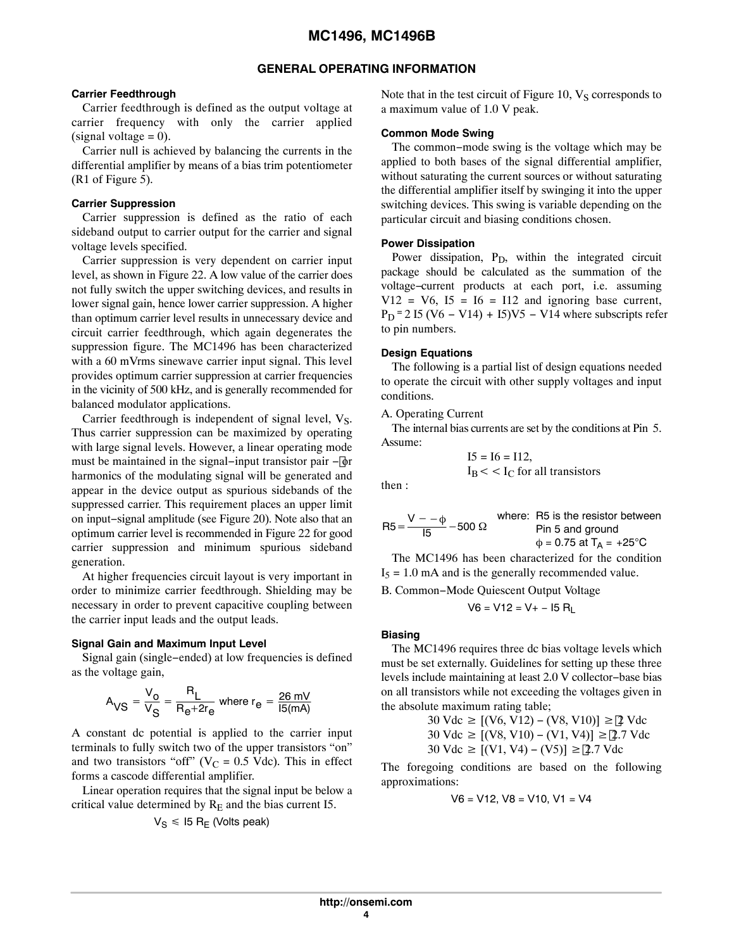# **GENERAL OPERATING INFORMATION**

# **Carrier Feedthrough**

Carrier feedthrough is defined as the output voltage at carrier frequency with only the carrier applied (signal voltage  $= 0$ ).

Carrier null is achieved by balancing the currents in the differential amplifier by means of a bias trim potentiometer (R1 of Figure [5\)](#page-4-0).

# **Carrier Suppression**

Carrier suppression is defined as the ratio of each sideband output to carrier output for the carrier and signal voltage levels specified.

Carrier suppression is very dependent on carrier input level, as shown in Figure [22.](#page-7-0) A low value of the carrier does not fully switch the upper switching devices, and results in lower signal gain, hence lower carrier suppression. A higher than optimum carrier level results in unnecessary device and circuit carrier feedthrough, which again degenerates the suppression figure. The MC1496 has been characterized with a 60 mVrms sinewave carrier input signal. This level provides optimum carrier suppression at carrier frequencies in the vicinity of 500 kHz, and is generally recommended for balanced modulator applications.

Carrier feedthrough is independent of signal level,  $V_S$ . Thus carrier suppression can be maximized by operating with large signal levels. However, a linear operating mode must be maintained in the signal–input transistor pair −[ $\phi$ r harmonics of the modulating signal will be generated and appear in the device output as spurious sidebands of the suppressed carrier. This requirement places an upper limit on input−signal amplitude (see Figure [20](#page-6-0)). Note also that an optimum carrier level is recommended in Figure [22](#page-7-0) for good carrier suppression and minimum spurious sideband generation.

At higher frequencies circuit layout is very important in order to minimize carrier feedthrough. Shielding may be necessary in order to prevent capacitive coupling between the carrier input leads and the output leads.

# **Signal Gain and Maximum Input Level**

Signal gain (single−ended) at low frequencies is defined as the voltage gain,

$$
A_{\text{VS}} = \frac{V_{\text{o}}}{V_{\text{S}}} = \frac{R_{\text{L}}}{R_{\text{e}} + 2r_{\text{e}}}
$$
 where  $r_{\text{e}} = \frac{26 \text{ mV}}{15 \text{(mA)}}$ 

A constant dc potential is applied to the carrier input terminals to fully switch two of the upper transistors "on" and two transistors "off" ( $V<sub>C</sub> = 0.5$  Vdc). This in effect forms a cascode differential amplifier.

Linear operation requires that the signal input be below a critical value determined by  $R_E$  and the bias current I5.

$$
V_S \leq 15 \; R_E \; \text{(Volts peak)}
$$

Note that in the test circuit of Figure [10,](#page-5-0)  $V<sub>S</sub>$  corresponds to a maximum value of 1.0 V peak.

# **Common Mode Swing**

The common−mode swing is the voltage which may be applied to both bases of the signal differential amplifier, without saturating the current sources or without saturating the differential amplifier itself by swinging it into the upper switching devices. This swing is variable depending on the particular circuit and biasing conditions chosen.

# **Power Dissipation**

Power dissipation, P<sub>D</sub>, within the integrated circuit package should be calculated as the summation of the voltage−current products at each port, i.e. assuming  $V12 = V6$ ,  $I5 = I6 = I12$  and ignoring base current,  $P_D$  = 2 I5 (V6 – V14) + I5)V5 – V14 where subscripts refer to pin numbers.

# **Design Equations**

The following is a partial list of design equations needed to operate the circuit with other supply voltages and input conditions.

A. Operating Current

The internal bias currents are set by the conditions at Pin 5. Assume:

$$
15 = 16 = 112,
$$
  
I<sub>B</sub> < < I<sub>C</sub> for all transistors

then :

$$
R5 = \frac{V - \phi}{15} - 500 \Omega
$$
 where: R5 is the resistor between  
Pin 5 and ground  

$$
\phi = 0.75 \text{ at } T_A = +25^{\circ} \text{C}
$$

The MC1496 has been characterized for the condition  $I_5 = 1.0$  mA and is the generally recommended value.

B. Common−Mode Quiescent Output Voltage

$$
V6 = V12 = V + - 15 R_L
$$

# **Biasing**

The MC1496 requires three dc bias voltage levels which must be set externally. Guidelines for setting up these three levels include maintaining at least 2.0 V collector−base bias on all transistors while not exceeding the voltages given in the absolute maximum rating table;

30 Vdc [(V6, V12) − (V8, V10)] 2 Vdc 30 Vdc [(V8, V10) − (V1, V4)] 2.7 Vdc 30 Vdc [(V1, V4) − (V5)] 2.7 Vdc

The foregoing conditions are based on the following approximations:

$$
V6 = V12, V8 = V10, V1 = V4
$$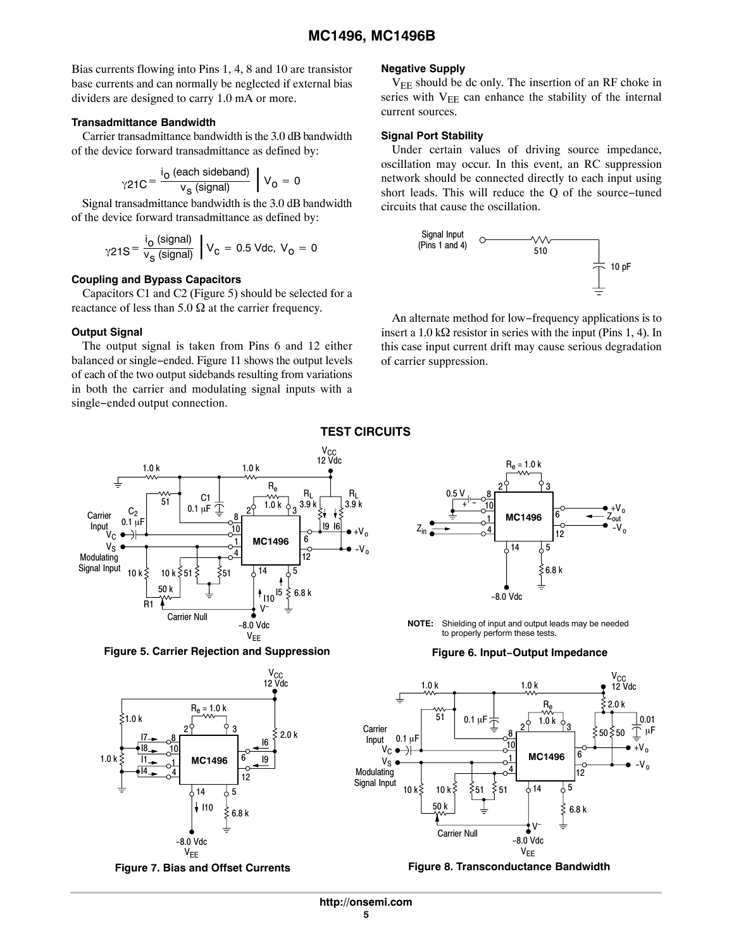<span id="page-4-0"></span>Bias currents flowing into Pins 1, 4, 8 and 10 are transistor base currents and can normally be neglected if external bias dividers are designed to carry 1.0 mA or more.

## **Transadmittance Bandwidth**

Carrier transadmittance bandwidth is the 3.0 dB bandwidth of the device forward transadmittance as defined by:

$$
\gamma 21C = \frac{i_0 \text{ (each sideband)}}{v_s \text{ (signal)}} \quad \text{V}_0 = 0
$$

Signal transadmittance bandwidth is the 3.0 dB bandwidth of the device forward transadmittance as defined by:

$$
\gamma 21S = \frac{i_0 \text{ (signal)}}{v_S \text{ (signal)}}
$$
  $V_C = 0.5 \text{ Vdc}, V_O = 0$ 

# **Coupling and Bypass Capacitors**

Capacitors C1 and C2 (Figure 5) should be selected for a reactance of less than 5.0  $\Omega$  at the carrier frequency.

# **Output Signal**

The output signal is taken from Pins 6 and 12 either balanced or single−ended. Figure [11](#page-5-0) shows the output levels of each of the two output sidebands resulting from variations in both the carrier and modulating signal inputs with a single−ended output connection.

# **Negative Supply**

VEE should be dc only. The insertion of an RF choke in series with  $V_{EE}$  can enhance the stability of the internal current sources.

# **Signal Port Stability**

Under certain values of driving source impedance, oscillation may occur. In this event, an RC suppression network should be connected directly to each input using short leads. This will reduce the Q of the source−tuned circuits that cause the oscillation.



An alternate method for low−frequency applications is to insert a 1.0 k $\Omega$  resistor in series with the input (Pins 1, 4). In this case input current drift may cause serious degradation of carrier suppression.











**NOTE:** Shielding of input and output leads may be needed to properly perform these tests.



**Figure 7. Bias and Offset Currents Figure 8. Transconductance Bandwidth**

**TEST CIRCUITS**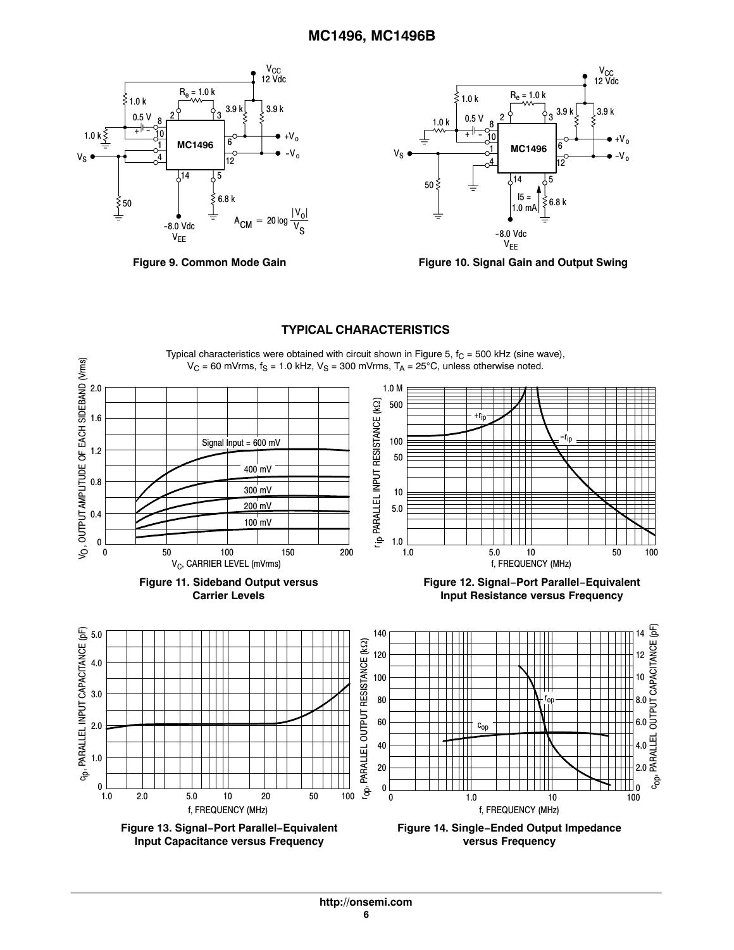<span id="page-5-0"></span>





# **TYPICAL CHARACTERISTICS**



Typical characteristics were obtained with circuit shown in Figure [5,](#page-4-0)  $f_C = 500$  kHz (sine wave),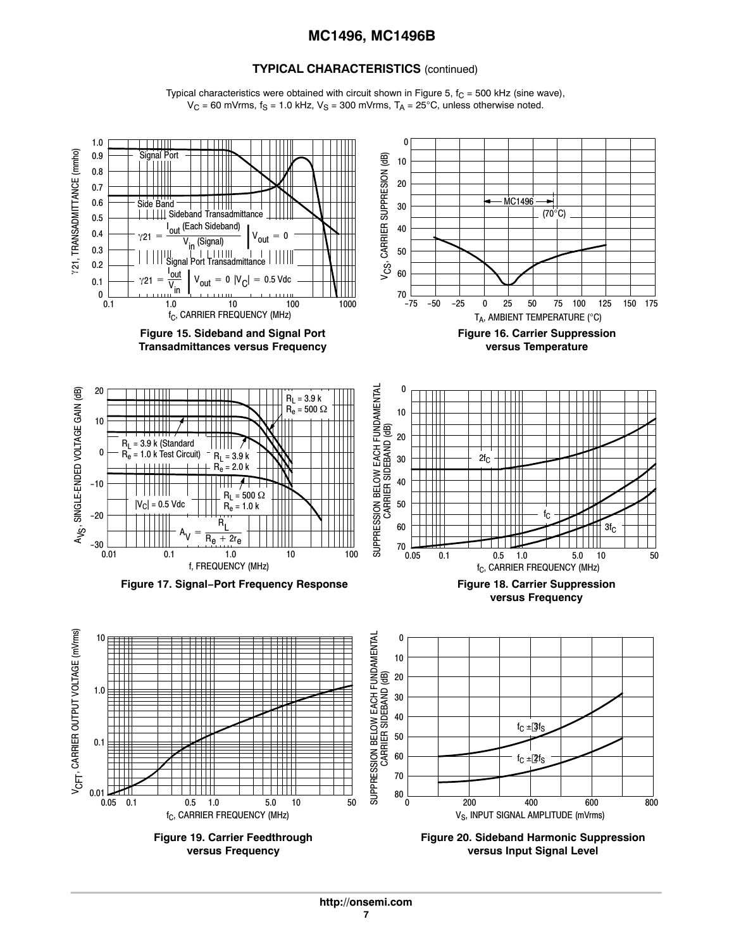# **TYPICAL CHARACTERISTICS** (continued)

Typical characteristics were obtained with circuit shown in Figure [5,](#page-4-0)  $f_C = 500$  kHz (sine wave),  $V_C = 60$  mVrms,  $f_S = 1.0$  kHz,  $V_S = 300$  mVrms,  $T_A = 25^{\circ}$ C, unless otherwise noted.

<span id="page-6-0"></span>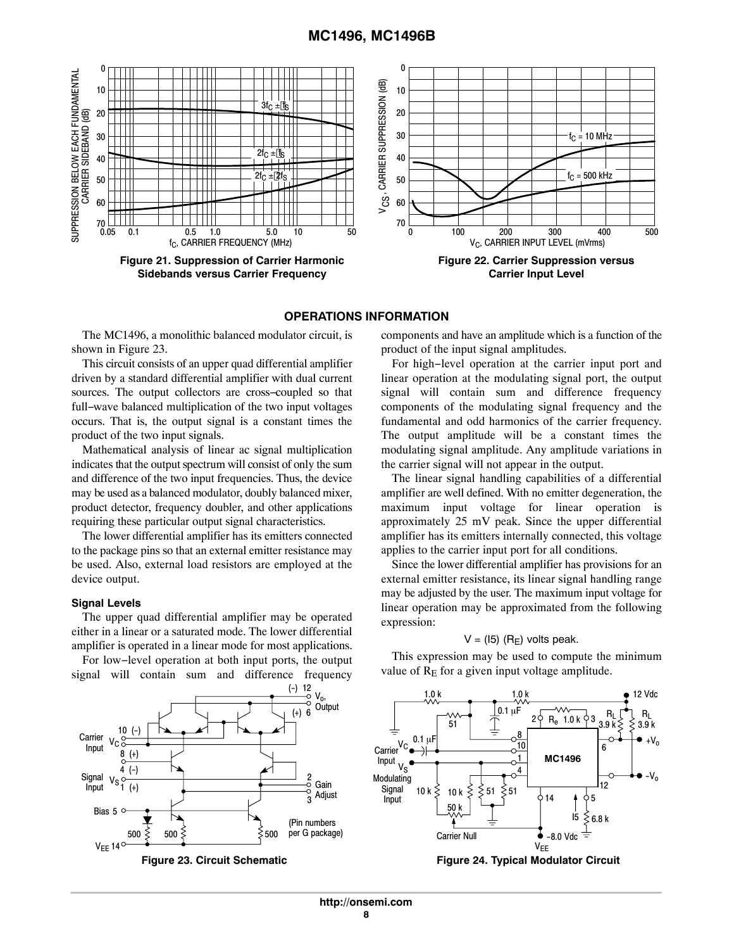<span id="page-7-0"></span>

#### **OPERATIONS INFORMATION**

The MC1496, a monolithic balanced modulator circuit, is shown in Figure 23.

This circuit consists of an upper quad differential amplifier driven by a standard differential amplifier with dual current sources. The output collectors are cross−coupled so that full−wave balanced multiplication of the two input voltages occurs. That is, the output signal is a constant times the product of the two input signals.

Mathematical analysis of linear ac signal multiplication indicates that the output spectrum will consist of only the sum and difference of the two input frequencies. Thus, the device may be used as a balanced modulator, doubly balanced mixer, product detector, frequency doubler, and other applications requiring these particular output signal characteristics.

The lower differential amplifier has its emitters connected to the package pins so that an external emitter resistance may be used. Also, external load resistors are employed at the device output.

#### **Signal Levels**

The upper quad differential amplifier may be operated either in a linear or a saturated mode. The lower differential amplifier is operated in a linear mode for most applications.

For low−level operation at both input ports, the output signal will contain sum and difference frequency



components and have an amplitude which is a function of the product of the input signal amplitudes.

For high−level operation at the carrier input port and linear operation at the modulating signal port, the output signal will contain sum and difference frequency components of the modulating signal frequency and the fundamental and odd harmonics of the carrier frequency. The output amplitude will be a constant times the modulating signal amplitude. Any amplitude variations in the carrier signal will not appear in the output.

The linear signal handling capabilities of a differential amplifier are well defined. With no emitter degeneration, the maximum input voltage for linear operation is approximately 25 mV peak. Since the upper differential amplifier has its emitters internally connected, this voltage applies to the carrier input port for all conditions.

Since the lower differential amplifier has provisions for an external emitter resistance, its linear signal handling range may be adjusted by the user. The maximum input voltage for linear operation may be approximated from the following expression:

#### $V = (15)$  (R<sub>E</sub>) volts peak.

This expression may be used to compute the minimum value of  $R<sub>E</sub>$  for a given input voltage amplitude.

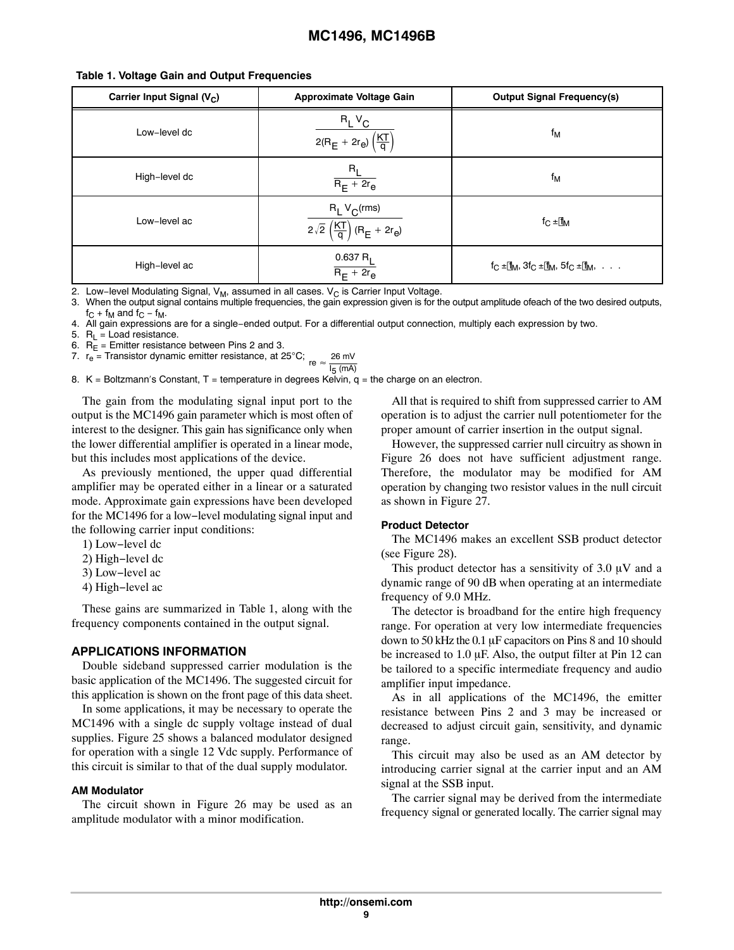| Carrier Input Signal (V <sub>C</sub> ) | <b>Approximate Voltage Gain</b>                                                                                 | <b>Output Signal Frequency(s)</b>                                              |
|----------------------------------------|-----------------------------------------------------------------------------------------------------------------|--------------------------------------------------------------------------------|
| Low-level dc                           | $R_L V_C$<br>$2(R_E + 2r_e)\left(\frac{KT}{q}\right)$                                                           | f <sub>M</sub>                                                                 |
| High-level dc                          | $R_{L}$<br>$R_F + 2r_e$                                                                                         | f <sub>M</sub>                                                                 |
| Low-level ac                           | $R_L V_C$ (rms)<br>$2\sqrt{2}\left(\frac{\text{KT}}{\text{q}}\right)(\text{R}_{\text{E}}+2\text{r}_{\text{e}})$ | fc ±llืм                                                                       |
| High-level ac                          | $0.637 R_1$<br>$R_F + 2r_e$                                                                                     | $f_C \pm \mathbb{I}_M$ , 3 $f_C \pm \mathbb{I}_M$ , 5 $f_C \pm \mathbb{I}_M$ , |

## **Table 1. Voltage Gain and Output Frequencies**

2. Low-level Modulating Signal, V<sub>M</sub>, assumed in all cases. V<sub>C</sub> is Carrier Input Voltage.

3. When the output signal contains multiple frequencies, the gain expression given is for the output amplitude ofeach of the two desired outputs,  $f_C + f_M$  and  $f_C - f_M$ .

4. All gain expressions are for a single−ended output. For a differential output connection, multiply each expression by two.

5.  $R_L$  = Load resistance.

6.  $R_F$  = Emitter resistance between Pins 2 and 3.

7.  $r_e$  = Transistor dynamic emitter resistance, at 25°C; 26 mV

$$
\mathsf{re} \approx \frac{\mathsf{re}}{\mathsf{I}_5\,(\mathsf{mA})}
$$

8. K = Boltzmann′s Constant, T = temperature in degrees Kelvin, q = the charge on an electron.

The gain from the modulating signal input port to the output is the MC1496 gain parameter which is most often of interest to the designer. This gain has significance only when the lower differential amplifier is operated in a linear mode, but this includes most applications of the device.

As previously mentioned, the upper quad differential amplifier may be operated either in a linear or a saturated mode. Approximate gain expressions have been developed for the MC1496 for a low−level modulating signal input and the following carrier input conditions:

- 1) Low−level dc
- 2) High−level dc
- 3) Low−level ac
- 4) High−level ac

These gains are summarized in Table 1, along with the frequency components contained in the output signal.

## **APPLICATIONS INFORMATION**

Double sideband suppressed carrier modulation is the basic application of the MC1496. The suggested circuit for this application is shown on the front page of this data sheet.

In some applications, it may be necessary to operate the MC1496 with a single dc supply voltage instead of dual supplies. Figure [25](#page-9-0) shows a balanced modulator designed for operation with a single 12 Vdc supply. Performance of this circuit is similar to that of the dual supply modulator.

## **AM Modulator**

The circuit shown in Figure [26](#page-9-0) may be used as an amplitude modulator with a minor modification.

All that is required to shift from suppressed carrier to AM operation is to adjust the carrier null potentiometer for the proper amount of carrier insertion in the output signal.

However, the suppressed carrier null circuitry as shown in Figure [26](#page-9-0) does not have sufficient adjustment range. Therefore, the modulator may be modified for AM operation by changing two resistor values in the null circuit as shown in Figure [27.](#page-9-0)

## **Product Detector**

The MC1496 makes an excellent SSB product detector (see Figure [28](#page-9-0)).

This product detector has a sensitivity of 3.0  $\mu$ V and a dynamic range of 90 dB when operating at an intermediate frequency of 9.0 MHz.

The detector is broadband for the entire high frequency range. For operation at very low intermediate frequencies down to 50 kHz the  $0.1 \mu$ F capacitors on Pins 8 and 10 should be increased to  $1.0 \mu F$ . Also, the output filter at Pin 12 can be tailored to a specific intermediate frequency and audio amplifier input impedance.

As in all applications of the MC1496, the emitter resistance between Pins 2 and 3 may be increased or decreased to adjust circuit gain, sensitivity, and dynamic range.

This circuit may also be used as an AM detector by introducing carrier signal at the carrier input and an AM signal at the SSB input.

The carrier signal may be derived from the intermediate frequency signal or generated locally. The carrier signal may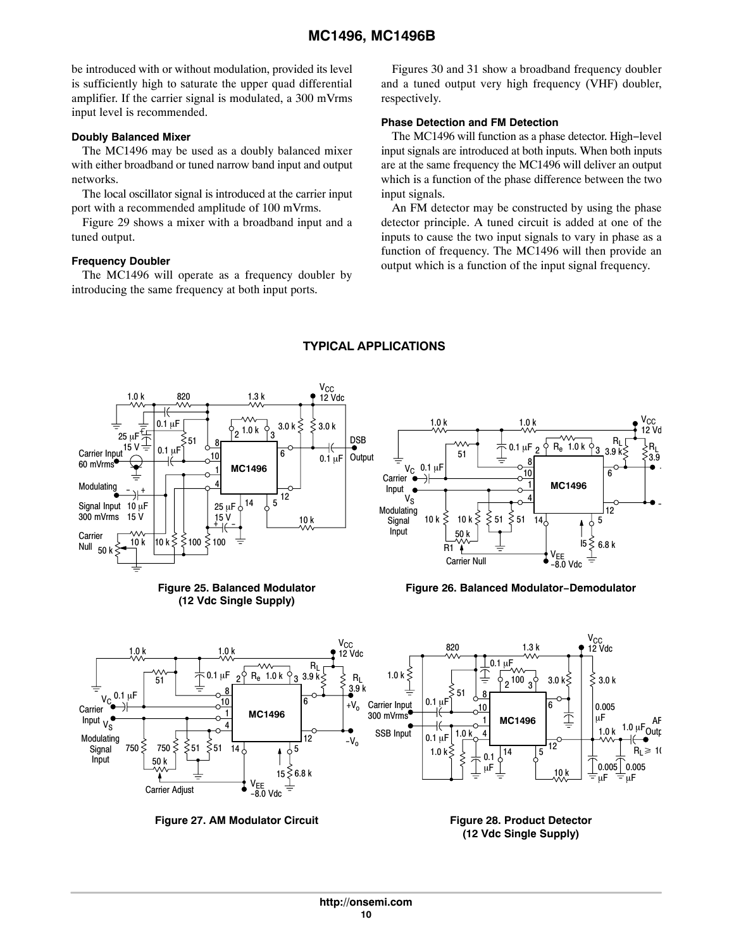<span id="page-9-0"></span>be introduced with or without modulation, provided its level is sufficiently high to saturate the upper quad differential amplifier. If the carrier signal is modulated, a 300 mVrms input level is recommended.

# **Doubly Balanced Mixer**

The MC1496 may be used as a doubly balanced mixer with either broadband or tuned narrow band input and output networks.

The local oscillator signal is introduced at the carrier input port with a recommended amplitude of 100 mVrms.

Figure [29](#page-10-0) shows a mixer with a broadband input and a tuned output.

# **Frequency Doubler**

The MC1496 will operate as a frequency doubler by introducing the same frequency at both input ports.

Figures [30](#page-10-0) and [31](#page-10-0) show a broadband frequency doubler and a tuned output very high frequency (VHF) doubler, respectively.

# **Phase Detection and FM Detection**

The MC1496 will function as a phase detector. High−level input signals are introduced at both inputs. When both inputs are at the same frequency the MC1496 will deliver an output which is a function of the phase difference between the two input signals.

An FM detector may be constructed by using the phase detector principle. A tuned circuit is added at one of the inputs to cause the two input signals to vary in phase as a function of frequency. The MC1496 will then provide an output which is a function of the input signal frequency.



# **TYPICAL APPLICATIONS**

**Figure 27. AM Modulator Circuit Figure 28. Product Detector (12 Vdc Single Supply)**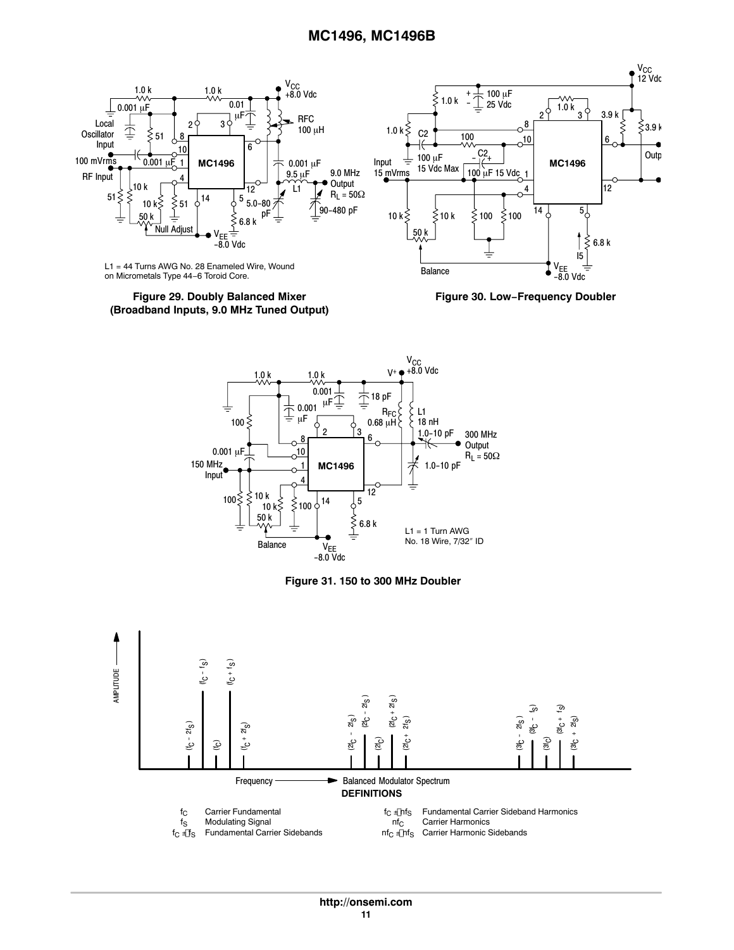<span id="page-10-0"></span>









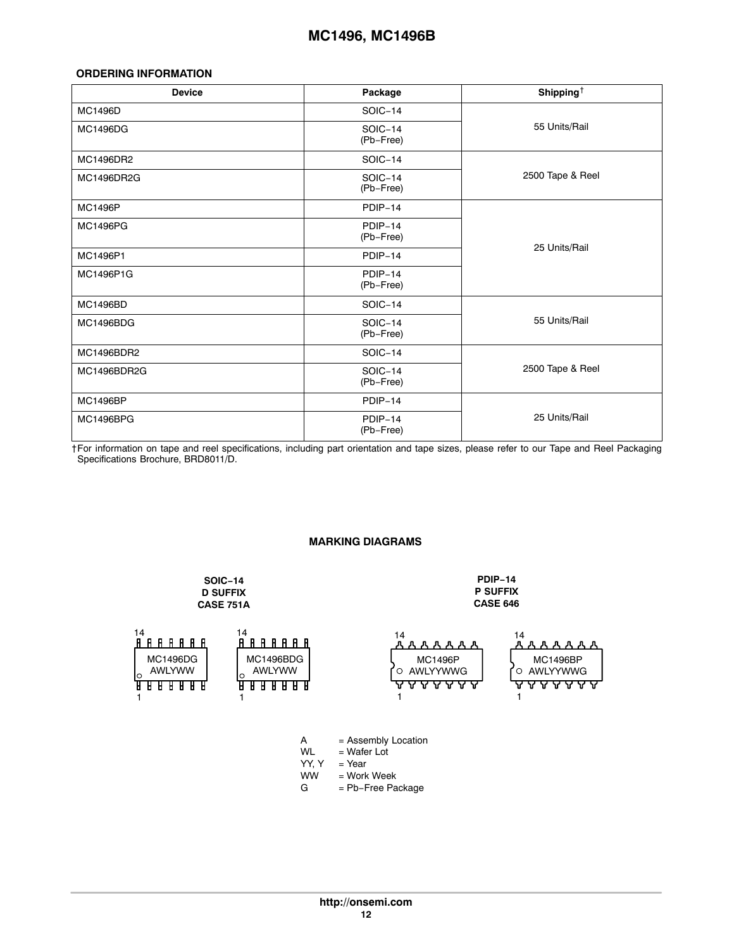# <span id="page-11-0"></span>**ORDERING INFORMATION**

| <b>Device</b>    | Package                     | Shipping <sup><math>\dagger</math></sup> |  |  |  |
|------------------|-----------------------------|------------------------------------------|--|--|--|
| <b>MC1496D</b>   | <b>SOIC-14</b>              |                                          |  |  |  |
| <b>MC1496DG</b>  | <b>SOIC-14</b><br>(Pb-Free) | 55 Units/Rail                            |  |  |  |
| MC1496DR2        | <b>SOIC-14</b>              |                                          |  |  |  |
| MC1496DR2G       | <b>SOIC-14</b><br>(Pb-Free) | 2500 Tape & Reel                         |  |  |  |
| <b>MC1496P</b>   | PDIP-14                     |                                          |  |  |  |
| <b>MC1496PG</b>  | PDIP-14<br>(Pb-Free)        |                                          |  |  |  |
| MC1496P1         | PDIP-14                     | 25 Units/Rail                            |  |  |  |
| MC1496P1G        | PDIP-14<br>(Pb-Free)        |                                          |  |  |  |
| <b>MC1496BD</b>  | <b>SOIC-14</b>              |                                          |  |  |  |
| <b>MC1496BDG</b> | <b>SOIC-14</b><br>(Pb-Free) | 55 Units/Rail                            |  |  |  |
| MC1496BDR2       | <b>SOIC-14</b>              |                                          |  |  |  |
| MC1496BDR2G      | <b>SOIC-14</b><br>(Pb-Free) | 2500 Tape & Reel                         |  |  |  |
| <b>MC1496BP</b>  | PDIP-14                     |                                          |  |  |  |
| <b>MC1496BPG</b> | PDIP-14<br>(Pb-Free)        | 25 Units/Rail                            |  |  |  |

†For information on tape and reel specifications, including part orientation and tape sizes, please refer to our Tape and Reel Packaging Specifications Brochure, BRD8011/D.

# **MARKING DIAGRAMS**

| <b>SOIC-14</b><br><b>D SUFFIX</b><br><b>CASE 751A</b>                 |                                                                  | PDIP-14<br><b>P SUFFIX</b><br><b>CASE 646</b>                                                |                                                                                  |  |  |
|-----------------------------------------------------------------------|------------------------------------------------------------------|----------------------------------------------------------------------------------------------|----------------------------------------------------------------------------------|--|--|
| 14<br>A A A A A A A<br><b>MC1496DG</b><br>AWLYWW<br>lo<br>Н<br>H<br>н | 14<br>A A A A A A<br>Н.<br><b>MC1496BDG</b><br>AWLYWW<br>$\circ$ | 14<br>8 8 8 8 8 8 8<br><b>MC1496P</b><br><b>AWLYYWWG</b><br>$\circ$<br>Y<br>Υ<br>Y<br>Y<br>Y | 14<br>8888888<br><b>MC1496BP</b><br>AWLYYWWG<br>$\circ$<br>Y<br>Υ<br>Y<br>Y<br>Y |  |  |
|                                                                       | A<br><b>WL</b><br>YY. Y<br>$\lambda$ A $\lambda$                 | = Assembly Location<br>$=$ Wafer Lot<br>$=$ Year<br>$M_{\text{odd}} M_{\text{odd}}$          |                                                                                  |  |  |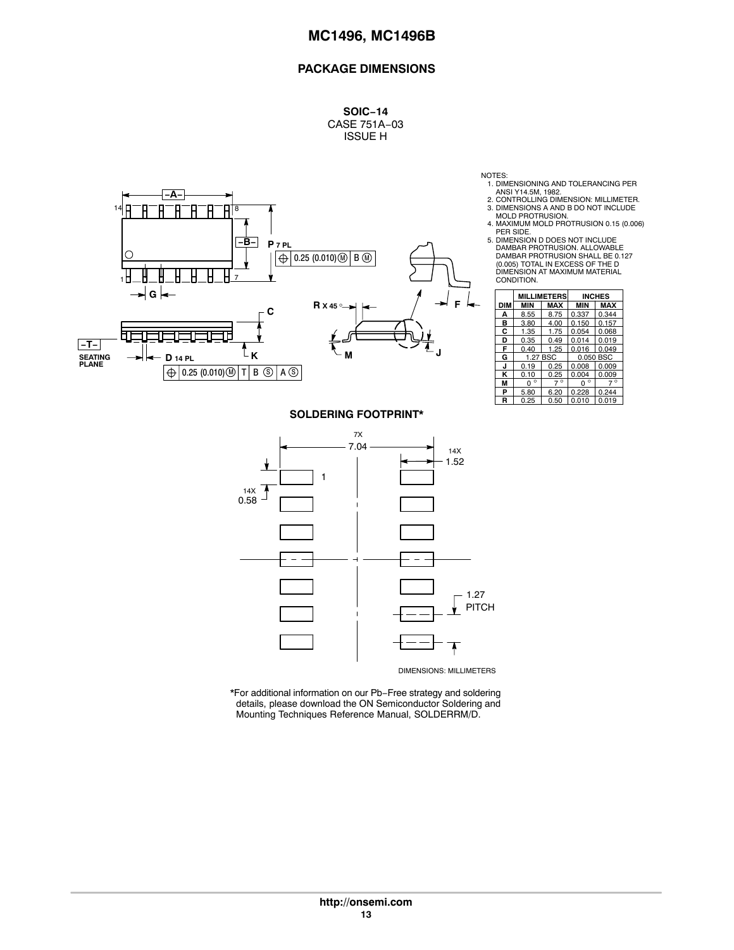# **PACKAGE DIMENSIONS**

**SOIC−14** CASE 751A−03 ISSUE H



NOTES:

- 1. DIMENSIONING AND TOLERANCING PER
- ANSI Y14.5M, 1982.<br>2. CONTROLLING DIMENSION: MILLIMETER.<br>3. DIMENSIONS A AND B DO NOT INCLUDE<br>MOLD PROTRUSION.
- 4. MAXIMUM MOLD PROTRUSION 0.15 (0.006) PER SIDE.
- 5. DIMENSION D DOES NOT INCLUDE DAMBAR PROTRUSION. ALLOWABLE DAMBAR PROTRUSION SHALL BE 0.127 (0.005) TOTAL IN EXCESS OF THE D DIMENSION AT MAXIMUM MATERIAL CONDITION.

|     | <b>MILLIMETERS</b>  |            |              | <b>INCHES</b> |
|-----|---------------------|------------|--------------|---------------|
| DIM | <b>MIN</b>          | <b>MAX</b> | <b>MIN</b>   | <b>MAX</b>    |
| А   | 8.55                | 8.75       | 0.337        | 0.344         |
| в   | 3.80                | 4.00       | 0.150        | 0.157         |
| С   | 1.35                | 1.75       | 0.054        | 0.068         |
| D   | 0.35                | 0.49       | 0.014        | 0.019         |
| F   | 0.40                | 1.25       | 0.016        | 0.049         |
| G   | 1.27 BSC            |            | 0.050 BSC    |               |
| J   | 0.19                | 0.25       | 0.008        | 0.009         |
| κ   | 0.10                | 0.25       | 0.004        | 0.009         |
| М   | $\circ$<br>$\Omega$ | $7^\circ$  | $\circ$<br>O | $7^\circ$     |
| P   | 5.80                | 6.20       | 0.228        | 0.244         |
| R   | 0.25                | 0.50       | 0.010        | 0.019         |

#### **SOLDERING FOOTPRINT\***



\*For additional information on our Pb−Free strategy and soldering details, please download the ON Semiconductor Soldering and Mounting Techniques Reference Manual, SOLDERRM/D.